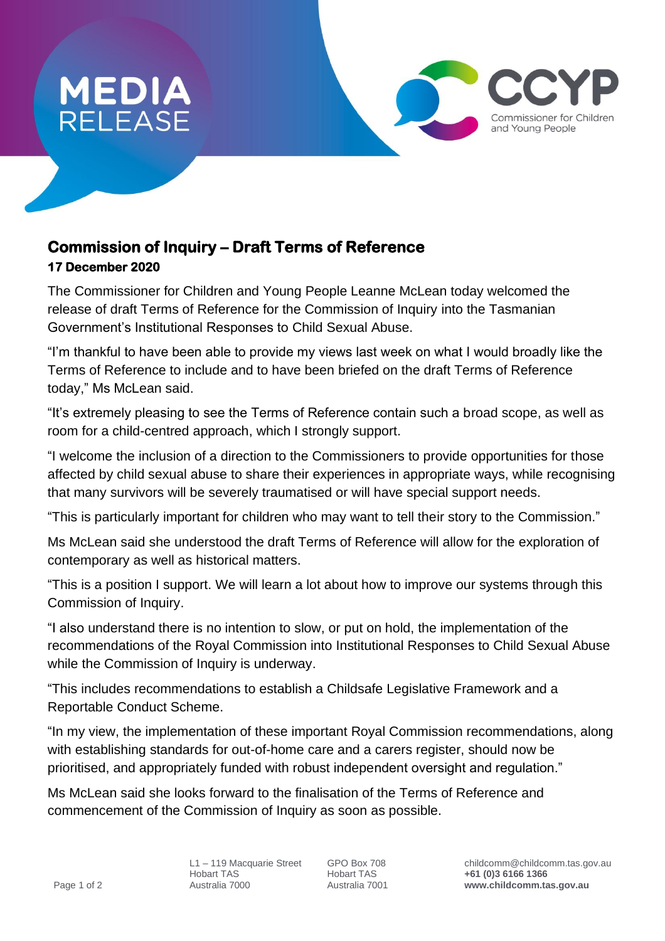

## **Commission of Inquiry – Draft Terms of Reference 17 December 2020**

The Commissioner for Children and Young People Leanne McLean today welcomed the release of draft Terms of Reference for the Commission of Inquiry into the Tasmanian Government's Institutional Responses to Child Sexual Abuse.

"I'm thankful to have been able to provide my views last week on what I would broadly like the Terms of Reference to include and to have been briefed on the draft Terms of Reference today," Ms McLean said.

"It's extremely pleasing to see the Terms of Reference contain such a broad scope, as well as room for a child-centred approach, which I strongly support.

"I welcome the inclusion of a direction to the Commissioners to provide opportunities for those affected by child sexual abuse to share their experiences in appropriate ways, while recognising that many survivors will be severely traumatised or will have special support needs.

"This is particularly important for children who may want to tell their story to the Commission."

Ms McLean said she understood the draft Terms of Reference will allow for the exploration of contemporary as well as historical matters.

"This is a position I support. We will learn a lot about how to improve our systems through this Commission of Inquiry.

"I also understand there is no intention to slow, or put on hold, the implementation of the recommendations of the Royal Commission into Institutional Responses to Child Sexual Abuse while the Commission of Inquiry is underway.

"This includes recommendations to establish a Childsafe Legislative Framework and a Reportable Conduct Scheme.

"In my view, the implementation of these important Royal Commission recommendations, along with establishing standards for out-of-home care and a carers register, should now be prioritised, and appropriately funded with robust independent oversight and regulation."

Ms McLean said she looks forward to the finalisation of the Terms of Reference and commencement of the Commission of Inquiry as soon as possible.

Commissioner for Children and Young People